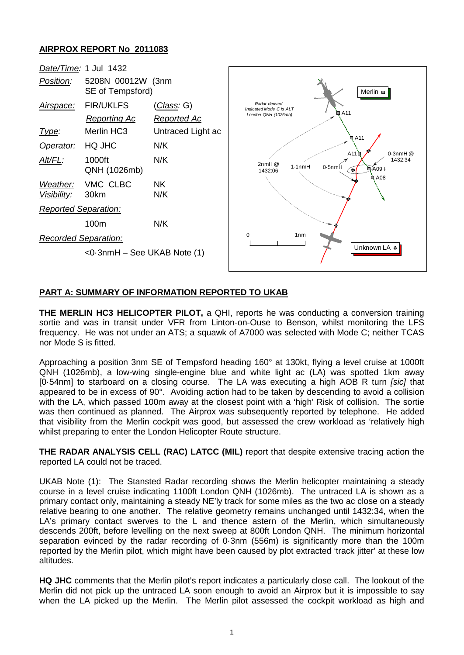## **AIRPROX REPORT No 2011083**



## **PART A: SUMMARY OF INFORMATION REPORTED TO UKAB**

**THE MERLIN HC3 HELICOPTER PILOT,** a QHI, reports he was conducting a conversion training sortie and was in transit under VFR from Linton-on-Ouse to Benson, whilst monitoring the LFS frequency. He was not under an ATS; a squawk of A7000 was selected with Mode C; neither TCAS nor Mode S is fitted.

Approaching a position 3nm SE of Tempsford heading 160° at 130kt, flying a level cruise at 1000ft QNH (1026mb), a low-wing single-engine blue and white light ac (LA) was spotted 1km away [0·54nm] to starboard on a closing course. The LA was executing a high AOB R turn *[sic]* that appeared to be in excess of 90°. Avoiding action had to be taken by descending to avoid a collision with the LA, which passed 100m away at the closest point with a 'high' Risk of collision. The sortie was then continued as planned. The Airprox was subsequently reported by telephone. He added that visibility from the Merlin cockpit was good, but assessed the crew workload as 'relatively high whilst preparing to enter the London Helicopter Route structure.

**THE RADAR ANALYSIS CELL (RAC) LATCC (MIL)** report that despite extensive tracing action the reported LA could not be traced.

UKAB Note (1): The Stansted Radar recording shows the Merlin helicopter maintaining a steady course in a level cruise indicating 1100ft London QNH (1026mb). The untraced LA is shown as a primary contact only, maintaining a steady NE'ly track for some miles as the two ac close on a steady relative bearing to one another. The relative geometry remains unchanged until 1432:34, when the LA's primary contact swerves to the L and thence astern of the Merlin, which simultaneously descends 200ft, before levelling on the next sweep at 800ft London QNH. The minimum horizontal separation evinced by the radar recording of 0·3nm (556m) is significantly more than the 100m reported by the Merlin pilot, which might have been caused by plot extracted 'track jitter' at these low altitudes.

**HQ JHC** comments that the Merlin pilot's report indicates a particularly close call. The lookout of the Merlin did not pick up the untraced LA soon enough to avoid an Airprox but it is impossible to say when the LA picked up the Merlin. The Merlin pilot assessed the cockpit workload as high and